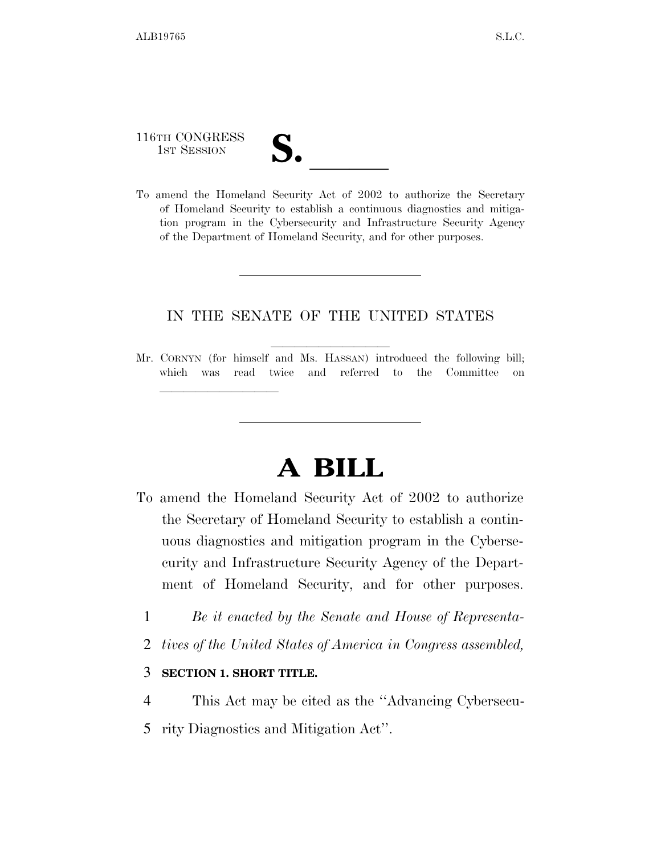116TH CONGRESS

lla se a constituída a constituída a constituída a constituída a constituída a constituída a constituída a con<br>En constituída a constituída a constituída a constituída a constituída a constituída a constituída a constituí

- 
- 116TH CONGRESS<br>
1ST SESSION<br>
To amend the Homeland Security Act of 2002 to authorize the Secretary of Homeland Security to establish a continuous diagnostics and mitigation program in the Cybersecurity and Infrastructure Security Agency of the Department of Homeland Security, and for other purposes.

## IN THE SENATE OF THE UNITED STATES

Mr. CORNYN (for himself and Ms. HASSAN) introduced the following bill; which was read twice and referred to the Committee on

## **A BILL**

- To amend the Homeland Security Act of 2002 to authorize the Secretary of Homeland Security to establish a continuous diagnostics and mitigation program in the Cybersecurity and Infrastructure Security Agency of the Department of Homeland Security, and for other purposes.
	- 1 *Be it enacted by the Senate and House of Representa-*
	- 2 *tives of the United States of America in Congress assembled,*

## 3 **SECTION 1. SHORT TITLE.**

- 4 This Act may be cited as the ''Advancing Cybersecu-
- 5 rity Diagnostics and Mitigation Act''.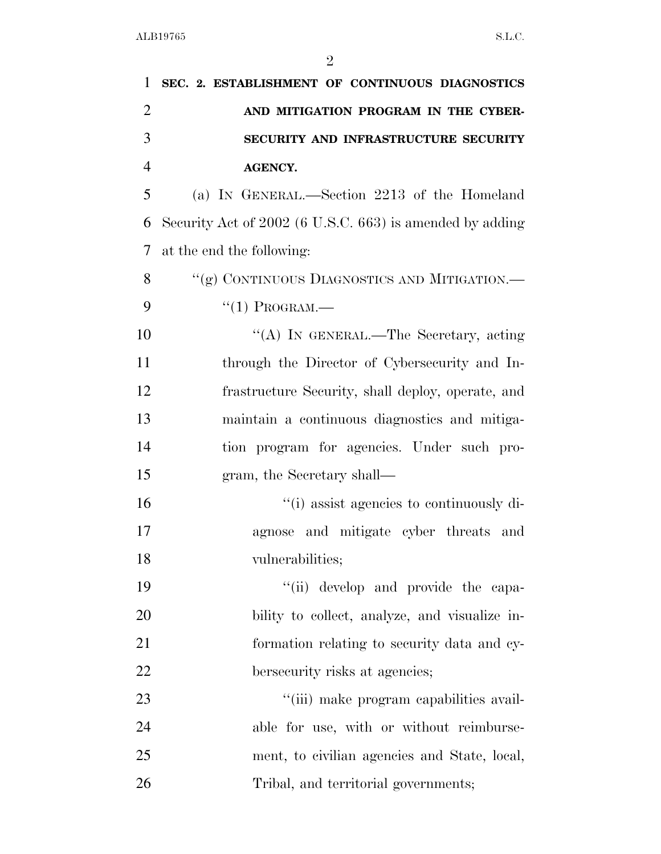| 1              | SEC. 2. ESTABLISHMENT OF CONTINUOUS DIAGNOSTICS          |
|----------------|----------------------------------------------------------|
| $\overline{2}$ | AND MITIGATION PROGRAM IN THE CYBER-                     |
| 3              | SECURITY AND INFRASTRUCTURE SECURITY                     |
| $\overline{4}$ | <b>AGENCY.</b>                                           |
| 5              | (a) IN GENERAL.—Section 2213 of the Homeland             |
| 6              | Security Act of 2002 (6 U.S.C. 663) is amended by adding |
| 7              | at the end the following:                                |
| 8              | "(g) CONTINUOUS DIAGNOSTICS AND MITIGATION.—             |
| 9              | $``(1)$ PROGRAM.—                                        |
| 10             | "(A) IN GENERAL.—The Secretary, acting                   |
| 11             | through the Director of Cybersecurity and In-            |
| 12             | frastructure Security, shall deploy, operate, and        |
| 13             | maintain a continuous diagnostics and mitiga-            |
| 14             | tion program for agencies. Under such pro-               |
| 15             | gram, the Secretary shall—                               |
| 16             | "(i) assist agencies to continuously di-                 |
| 17             | and mitigate cyber threats and<br>agnose                 |
| 18             | vulnerabilities;                                         |
| 19             | "(ii) develop and provide the capa-                      |
| 20             | bility to collect, analyze, and visualize in-            |
| 21             | formation relating to security data and cy-              |
| 22             | bersecurity risks at agencies;                           |
| 23             | "(iii) make program capabilities avail-                  |
| 24             | able for use, with or without reimburse-                 |
| 25             | ment, to civilian agencies and State, local,             |
| 26             | Tribal, and territorial governments;                     |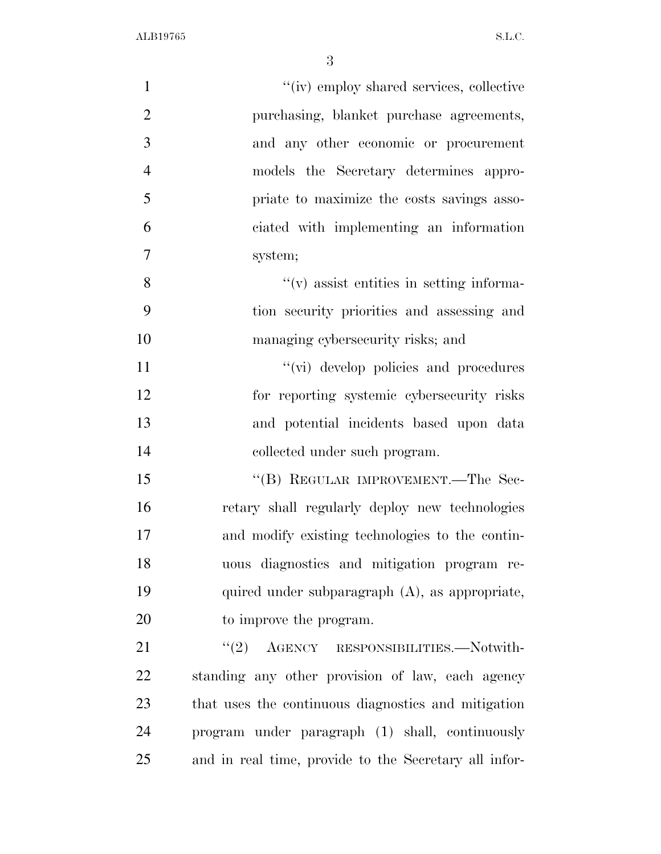| $\mathbf{1}$   | "(iv) employ shared services, collective              |
|----------------|-------------------------------------------------------|
| $\overline{2}$ | purchasing, blanket purchase agreements,              |
| 3              | and any other economic or procurement                 |
| $\overline{4}$ | models the Secretary determines appro-                |
| 5              | priate to maximize the costs savings asso-            |
| 6              | ciated with implementing an information               |
| $\overline{7}$ | system;                                               |
| 8              | $f'(v)$ assist entities in setting informa-           |
| 9              | tion security priorities and assessing and            |
| 10             | managing cybersecurity risks; and                     |
| 11             | "(vi) develop policies and procedures                 |
| 12             | for reporting systemic cybersecurity risks            |
| 13             | and potential incidents based upon data               |
| 14             | collected under such program.                         |
| 15             | "(B) REGULAR IMPROVEMENT.—The Sec-                    |
| 16             | retary shall regularly deploy new technologies        |
| 17             | and modify existing technologies to the contin-       |
| 18             | uous diagnostics and mitigation program re-           |
| 19             | quired under subparagraph (A), as appropriate,        |
| 20             | to improve the program.                               |
| 21             | "(2) AGENCY RESPONSIBILITIES. Notwith-                |
| 22             | standing any other provision of law, each agency      |
| 23             | that uses the continuous diagnostics and mitigation   |
| 24             | program under paragraph (1) shall, continuously       |
| 25             | and in real time, provide to the Secretary all infor- |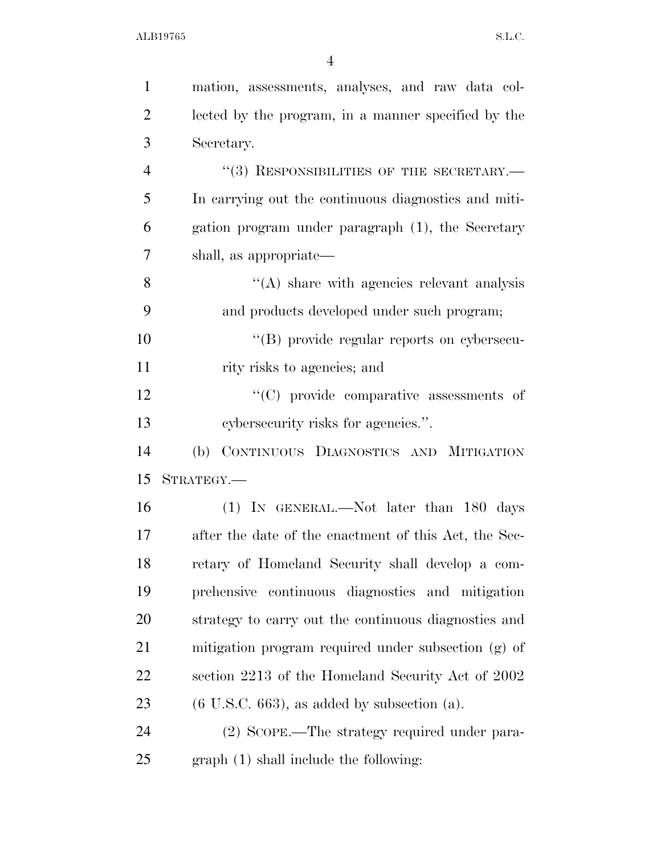| $\mathbf{1}$   | mation, assessments, analyses, and raw data col-      |
|----------------|-------------------------------------------------------|
| $\overline{2}$ | lected by the program, in a manner specified by the   |
| 3              | Secretary.                                            |
| $\overline{4}$ | $``(3)$ RESPONSIBILITIES OF THE SECRETARY.—           |
| 5              | In carrying out the continuous diagnostics and miti-  |
| 6              | gation program under paragraph (1), the Secretary     |
| 7              | shall, as appropriate—                                |
| 8              | $\lq\lq$ share with agencies relevant analysis        |
| 9              | and products developed under such program;            |
| 10             | "(B) provide regular reports on cybersecu-            |
| 11             | rity risks to agencies; and                           |
| 12             | "(C) provide comparative assessments of               |
| 13             | cybersecurity risks for agencies.".                   |
| 14             | CONTINUOUS DIAGNOSTICS AND MITIGATION<br>(b)          |
| 15             | STRATEGY.                                             |
| 16             | (1) IN GENERAL.—Not later than 180 days               |
| 17             | after the date of the enactment of this Act, the Sec- |
| 18             | retary of Homeland Security shall develop a com-      |
| 19             | prehensive continuous diagnostics and mitigation      |
| 20             | strategy to carry out the continuous diagnostics and  |
| 21             | mitigation program required under subsection (g) of   |
| 22             | section 2213 of the Homeland Security Act of 2002     |
| 23             | $(6$ U.S.C. 663), as added by subsection $(a)$ .      |
| 24             | (2) SCOPE.—The strategy required under para-          |
| 25             | graph(1) shall include the following:                 |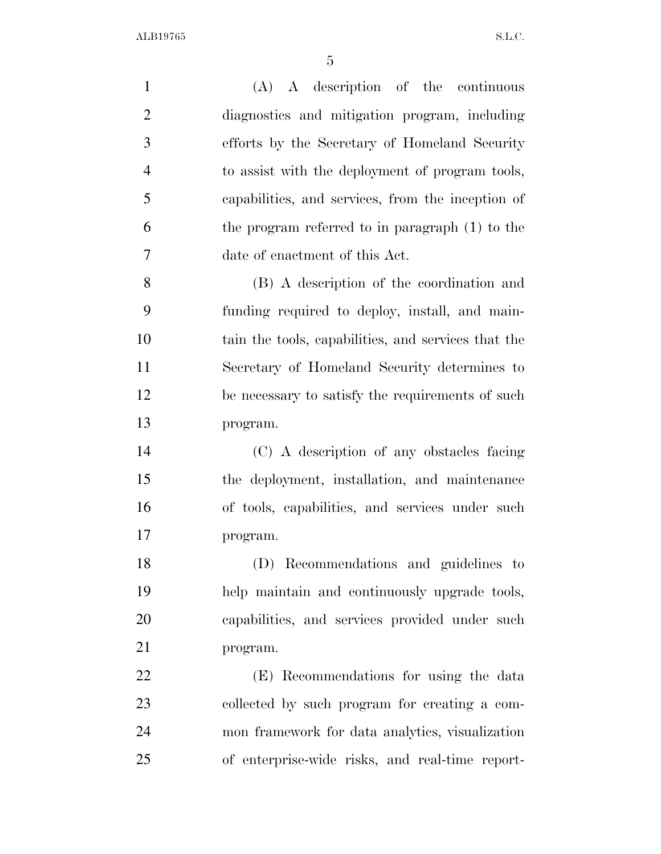| $\mathbf{1}$   | $(A)$ A description of the continuous               |
|----------------|-----------------------------------------------------|
| $\overline{2}$ | diagnostics and mitigation program, including       |
| 3              | efforts by the Secretary of Homeland Security       |
| $\overline{4}$ | to assist with the deployment of program tools,     |
| 5              | capabilities, and services, from the inception of   |
| 6              | the program referred to in paragraph (1) to the     |
| 7              | date of enactment of this Act.                      |
| 8              | (B) A description of the coordination and           |
| 9              | funding required to deploy, install, and main-      |
| 10             | tain the tools, capabilities, and services that the |
| 11             | Secretary of Homeland Security determines to        |
| 12             | be necessary to satisfy the requirements of such    |
| 13             | program.                                            |
| 14             | (C) A description of any obstacles facing           |
| 15             | the deployment, installation, and maintenance       |
| 16             | of tools, capabilities, and services under such     |
| 17             | program.                                            |
| 18             | (D) Recommendations and guidelines to               |
| 19             | help maintain and continuously upgrade tools,       |
| 20             | capabilities, and services provided under such      |
| 21             | program.                                            |
| 22             | (E) Recommendations for using the data              |
| 23             | collected by such program for creating a com-       |
| 24             | mon framework for data analytics, visualization     |
| 25             | of enterprise-wide risks, and real-time report-     |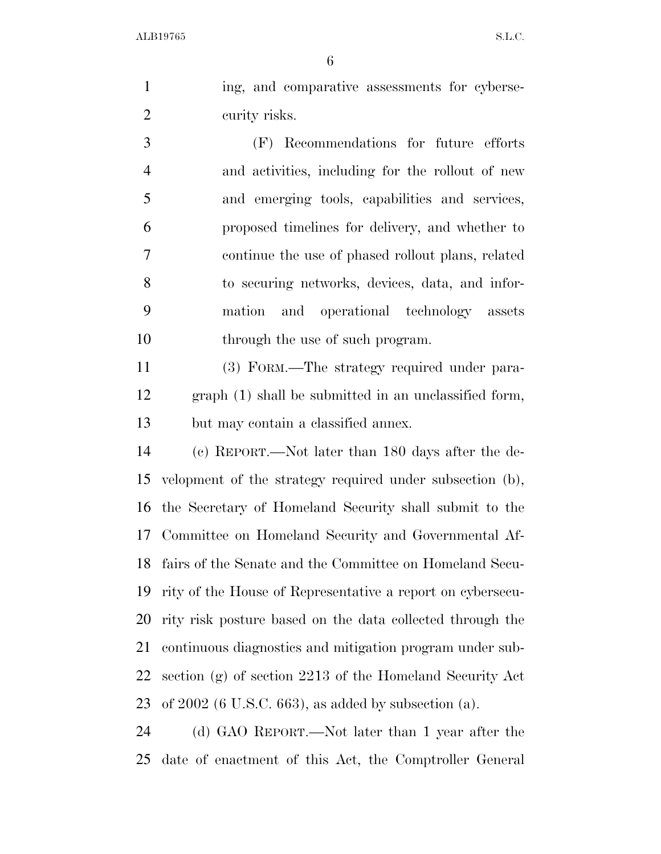ing, and comparative assessments for cyberse-curity risks.

 (F) Recommendations for future efforts and activities, including for the rollout of new and emerging tools, capabilities and services, proposed timelines for delivery, and whether to continue the use of phased rollout plans, related to securing networks, devices, data, and infor- mation and operational technology assets 10 through the use of such program.

 (3) FORM.—The strategy required under para- graph (1) shall be submitted in an unclassified form, but may contain a classified annex.

 (c) REPORT.—Not later than 180 days after the de- velopment of the strategy required under subsection (b), the Secretary of Homeland Security shall submit to the Committee on Homeland Security and Governmental Af- fairs of the Senate and the Committee on Homeland Secu- rity of the House of Representative a report on cybersecu- rity risk posture based on the data collected through the continuous diagnostics and mitigation program under sub- section (g) of section 2213 of the Homeland Security Act of 2002 (6 U.S.C. 663), as added by subsection (a).

 (d) GAO REPORT.—Not later than 1 year after the date of enactment of this Act, the Comptroller General